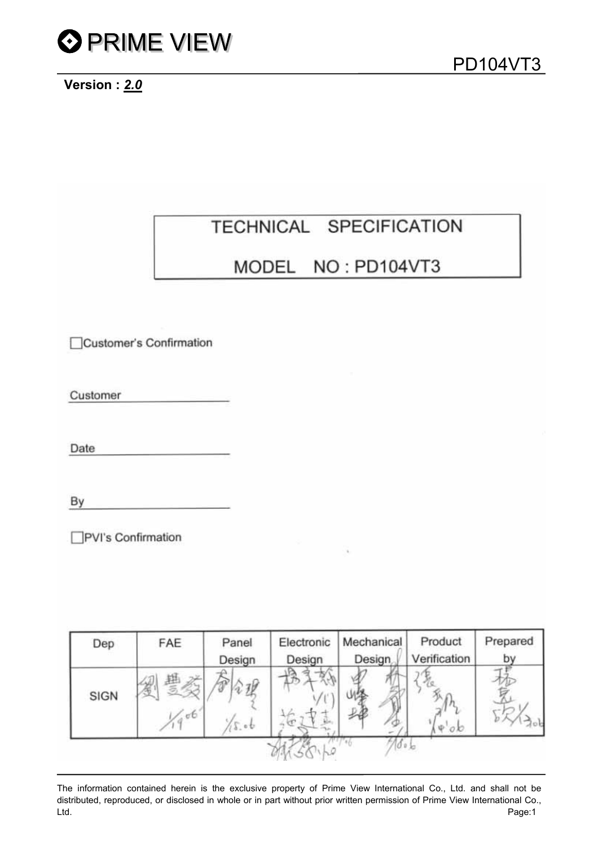

### **Version :** *2.0*

## TECHNICAL SPECIFICATION

### MODEL NO: PD104VT3

Customer's Confirmation

Customer

Date

By

□PVI's Confirmation

| Dep  | FAE  | Panel<br>Design | Electronic<br>Design | Mechanical<br><b>Design</b> | Product<br>Verification | Prepared<br>by |
|------|------|-----------------|----------------------|-----------------------------|-------------------------|----------------|
| SIGN | .667 | 5.06            |                      | <b>CM</b>                   | $\nabla \phi$           |                |
|      |      |                 |                      | 700 <sub>b</sub>            |                         |                |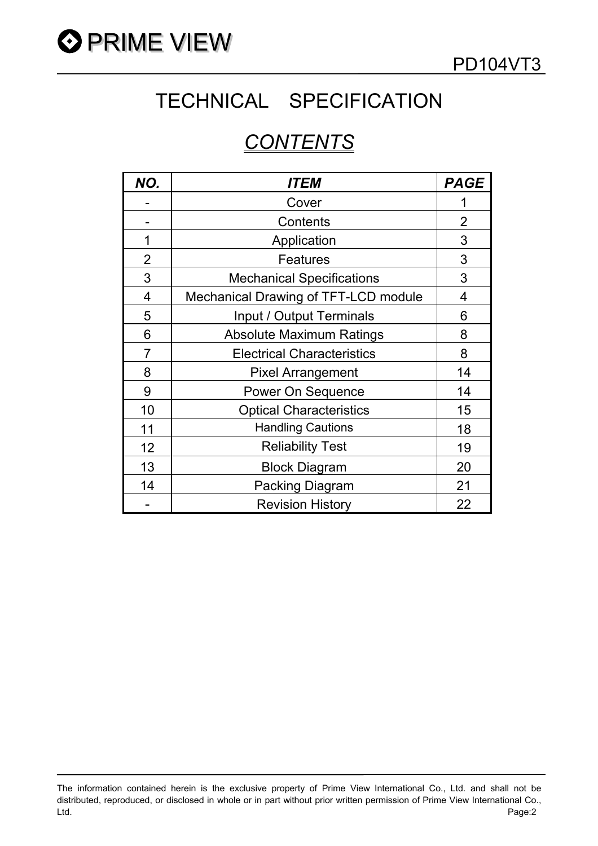

# TECHNICAL SPECIFICATION

## *CONTENTS*

| NO.            | <i>ITEM</i>                          | <b>PAGE</b>    |
|----------------|--------------------------------------|----------------|
|                | Cover                                |                |
|                | Contents                             | $\overline{2}$ |
| 1              | Application                          | 3              |
| $\overline{2}$ | <b>Features</b>                      | 3              |
| 3              | <b>Mechanical Specifications</b>     | 3              |
| 4              | Mechanical Drawing of TFT-LCD module | 4              |
| 5              | Input / Output Terminals             | 6              |
| 6              | <b>Absolute Maximum Ratings</b>      | 8              |
| 7              | <b>Electrical Characteristics</b>    | 8              |
| 8              | <b>Pixel Arrangement</b>             | 14             |
| 9              | Power On Sequence                    | 14             |
| 10             | <b>Optical Characteristics</b>       | 15             |
| 11             | <b>Handling Cautions</b>             | 18             |
| 12             | <b>Reliability Test</b>              | 19             |
| 13             | <b>Block Diagram</b>                 | 20             |
| 14             | <b>Packing Diagram</b>               | 21             |
|                | <b>Revision History</b>              | 22             |

The information contained herein is the exclusive property of Prime View International Co., Ltd. and shall not be distributed, reproduced, or disclosed in whole or in part without prior written permission of Prime View International Co., Ltd. Page:2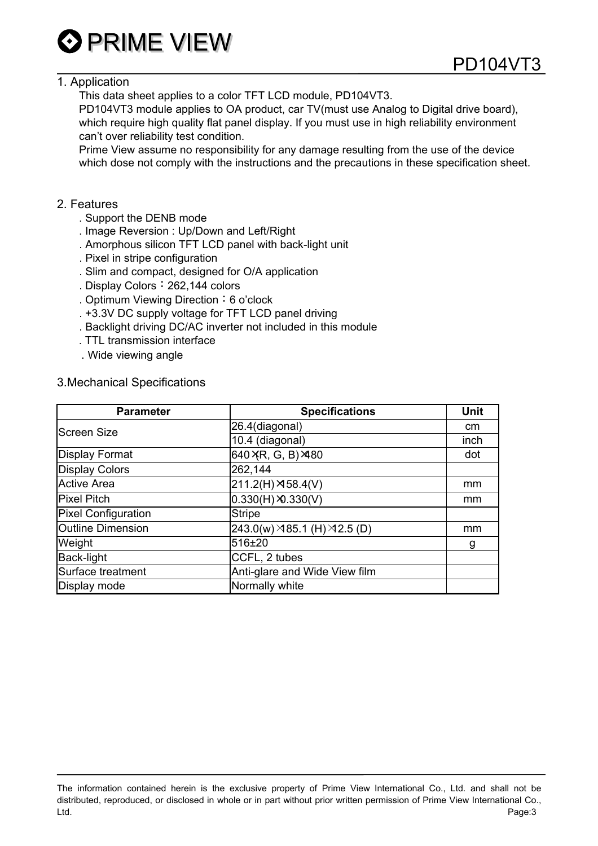

### 1. Application

This data sheet applies to a color TFT LCD module, PD104VT3.

 PD104VT3 module applies to OA product, car TV(must use Analog to Digital drive board), which require high quality flat panel display. If you must use in high reliability environment can't over reliability test condition.

 Prime View assume no responsibility for any damage resulting from the use of the device which dose not comply with the instructions and the precautions in these specification sheet.

### 2. Features

- . Support the DENB mode
- . Image Reversion : Up/Down and Left/Right
- . Amorphous silicon TFT LCD panel with back-light unit
- . Pixel in stripe configuration
- . Slim and compact, designed for O/A application
- . Display Colors: 262,144 colors
- . Optimum Viewing Direction: 6 o'clock
- . +3.3V DC supply voltage for TFT LCD panel driving
- . Backlight driving DC/AC inverter not included in this module
- . TTL transmission interface
- . Wide viewing angle

### 3.Mechanical Specifications

| <b>Parameter</b>           | <b>Specifications</b>                       | <b>Unit</b> |
|----------------------------|---------------------------------------------|-------------|
| <b>Screen Size</b>         | 26.4(diagonal)                              | cm          |
|                            | 10.4 (diagonal)                             | inch        |
| <b>Display Format</b>      | 640 XR, G, B) ×480                          | dot         |
| <b>Display Colors</b>      | 262,144                                     |             |
| <b>Active Area</b>         | $211.2(H) \times 58.4(V)$                   | mm          |
| <b>Pixel Pitch</b>         | $0.330(H)$ $\times$ 0.330(V)                | mm          |
| <b>Pixel Configuration</b> | <b>Stripe</b>                               |             |
| <b>Outline Dimension</b>   | $243.0(w) \times 85.1$ (H) $\times 2.5$ (D) | mm          |
| Weight                     | 516±20                                      | g           |
| Back-light                 | CCFL, 2 tubes                               |             |
| Surface treatment          | Anti-glare and Wide View film               |             |
| Display mode               | Normally white                              |             |

The information contained herein is the exclusive property of Prime View International Co., Ltd. and shall not be distributed, reproduced, or disclosed in whole or in part without prior written permission of Prime View International Co., Ltd. Page:3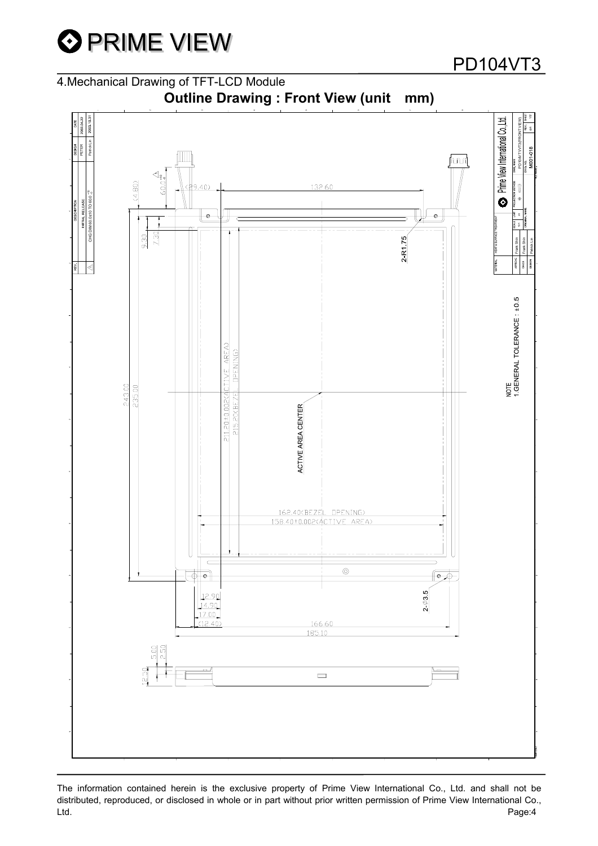

4.Mechanical Drawing of TFT-LCD Module



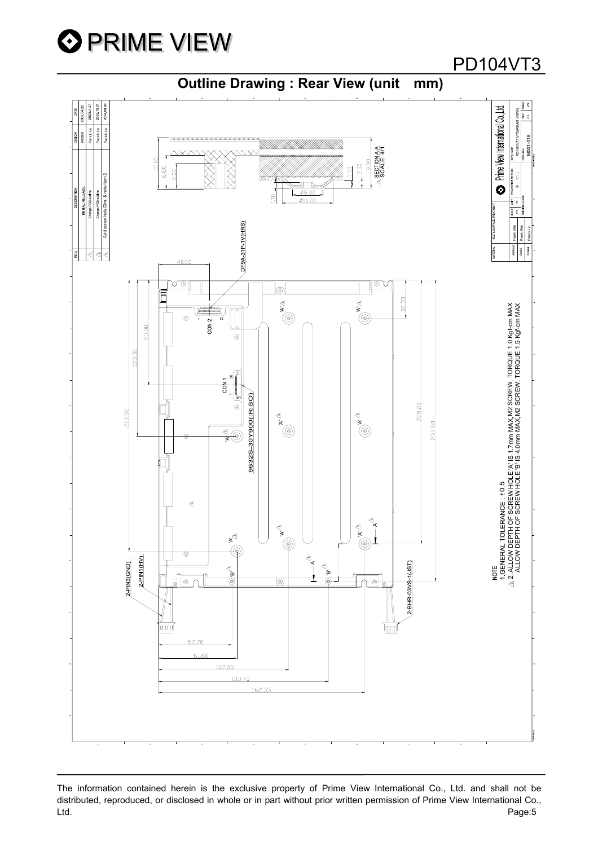

### PD104VT3

### **Outline Drawing : Rear View (unit mm)**



The information contained herein is the exclusive property of Prime View International Co., Ltd. and shall not be distributed, reproduced, or disclosed in whole or in part without prior written permission of Prime View International Co., Ltd. Page:5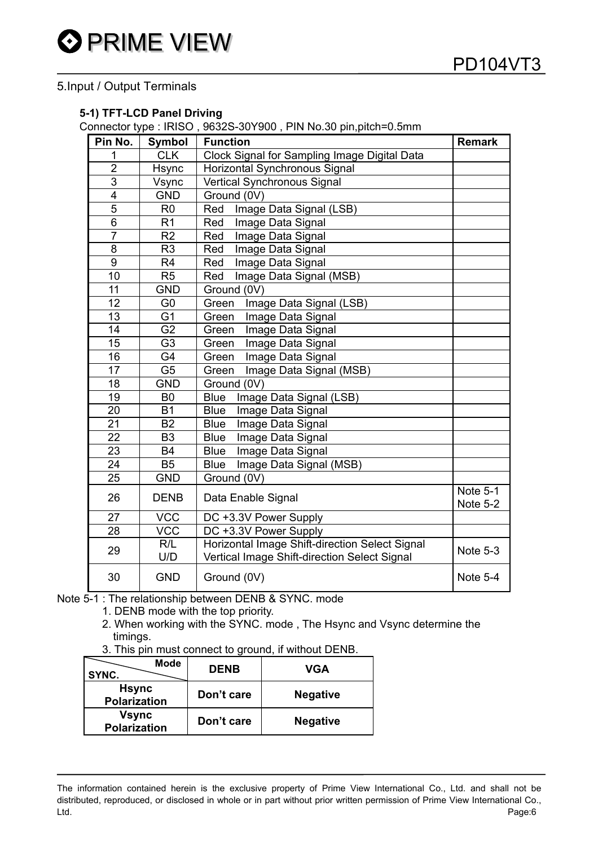### 5.Input / Output Terminals

#### **5-1) TFT-LCD Panel Driving**

Connector type : IRISO , 9632S-30Y900 , PIN No.30 pin,pitch=0.5mm

| Pin No.         | Symbol         | <b>Function</b>                                                                                | <b>Remark</b>        |
|-----------------|----------------|------------------------------------------------------------------------------------------------|----------------------|
| 1               | <b>CLK</b>     | Clock Signal for Sampling Image Digital Data                                                   |                      |
| $\overline{2}$  | Hsync          | Horizontal Synchronous Signal                                                                  |                      |
| 3               | Vsync          | <b>Vertical Synchronous Signal</b>                                                             |                      |
| 4               | <b>GND</b>     | Ground (0V)                                                                                    |                      |
| 5               | R <sub>0</sub> | Red<br>Image Data Signal (LSB)                                                                 |                      |
| 6               | R <sub>1</sub> | Image Data Signal<br>Red                                                                       |                      |
| $\overline{7}$  | R <sub>2</sub> | Image Data Signal<br>Red                                                                       |                      |
| 8               | R <sub>3</sub> | Image Data Signal<br>Red                                                                       |                      |
| 9               | R <sub>4</sub> | Image Data Signal<br>Red                                                                       |                      |
| 10              | R <sub>5</sub> | Image Data Signal (MSB)<br>Red                                                                 |                      |
| 11              | <b>GND</b>     | Ground (0V)                                                                                    |                      |
| 12              | G <sub>0</sub> | Green<br>Image Data Signal (LSB)                                                               |                      |
| 13              | G <sub>1</sub> | Green<br>Image Data Signal                                                                     |                      |
| 14              | G <sub>2</sub> | Image Data Signal<br>Green                                                                     |                      |
| 15              | G <sub>3</sub> | Image Data Signal<br>Green                                                                     |                      |
| 16              | G4             | Image Data Signal<br>Green                                                                     |                      |
| $\overline{17}$ | G <sub>5</sub> | Image Data Signal (MSB)<br>Green                                                               |                      |
| 18              | <b>GND</b>     | Ground (0V)                                                                                    |                      |
| 19              | B <sub>0</sub> | <b>Blue</b><br>Image Data Signal (LSB)                                                         |                      |
| 20              | <b>B1</b>      | Image Data Signal<br><b>Blue</b>                                                               |                      |
| 21              | <b>B2</b>      | <b>Blue</b><br>Image Data Signal                                                               |                      |
| 22              | B <sub>3</sub> | Image Data Signal<br><b>Blue</b>                                                               |                      |
| 23              | <b>B4</b>      | Image Data Signal<br><b>Blue</b>                                                               |                      |
| 24              | <b>B5</b>      | Image Data Signal (MSB)<br><b>Blue</b>                                                         |                      |
| 25              | <b>GND</b>     | Ground (0V)                                                                                    |                      |
| 26              | <b>DENB</b>    | Data Enable Signal                                                                             | Note 5-1<br>Note 5-2 |
| 27              | <b>VCC</b>     | DC +3.3V Power Supply                                                                          |                      |
| 28              | <b>VCC</b>     | DC +3.3V Power Supply                                                                          |                      |
| 29              | R/L<br>U/D     | Horizontal Image Shift-direction Select Signal<br>Vertical Image Shift-direction Select Signal | Note 5-3             |
| 30              | <b>GND</b>     | Ground (0V)                                                                                    | Note 5-4             |

Note 5-1 : The relationship between DENB & SYNC. mode

- 1. DENB mode with the top priority.
- 2. When working with the SYNC. mode , The Hsync and Vsync determine the timings.
- 3. This pin must connect to ground, if without DENB.

| <b>Mode</b><br>SYNC.                | <b>DENB</b> | VGA             |
|-------------------------------------|-------------|-----------------|
| <b>Hsync</b><br><b>Polarization</b> | Don't care  | <b>Negative</b> |
| <b>Vsync</b><br><b>Polarization</b> | Don't care  | <b>Negative</b> |

The information contained herein is the exclusive property of Prime View International Co., Ltd. and shall not be distributed, reproduced, or disclosed in whole or in part without prior written permission of Prime View International Co., Ltd. Page:6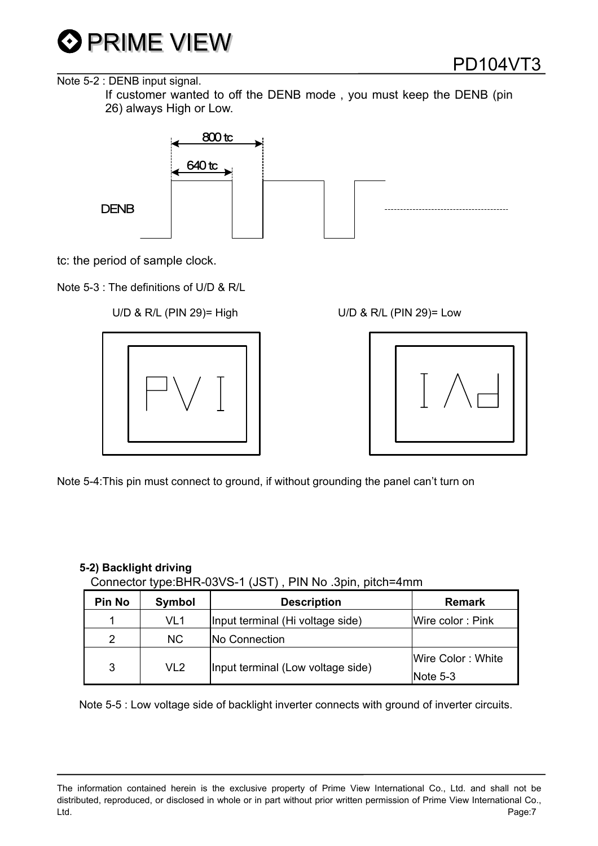

Note 5-2 : DENB input signal.

 If customer wanted to off the DENB mode , you must keep the DENB (pin 26) always High or Low.



tc: the period of sample clock.

Note 5-3 : The definitions of U/D & R/L

### U/D & R/L (PIN 29)= High U/D & R/L (PIN 29)= Low





Note 5-4:This pin must connect to ground, if without grounding the panel can't turn on

| <b>Pin No</b>        | Symbol | <b>Description</b>                | <b>Remark</b>     |  |  |  |  |  |
|----------------------|--------|-----------------------------------|-------------------|--|--|--|--|--|
|                      | VL1    | Input terminal (Hi voltage side)  | Wire color: Pink  |  |  |  |  |  |
| $\mathcal{P}$        | NC.    | No Connection                     |                   |  |  |  |  |  |
|                      |        |                                   | Wire Color: White |  |  |  |  |  |
| 3<br>VL <sub>2</sub> |        | Input terminal (Low voltage side) | Note $5-3$        |  |  |  |  |  |

**5-2) Backlight driving** Connector type:BHR-03VS-1 (JST) , PIN No .3pin, pitch=4mm

Note 5-5 : Low voltage side of backlight inverter connects with ground of inverter circuits.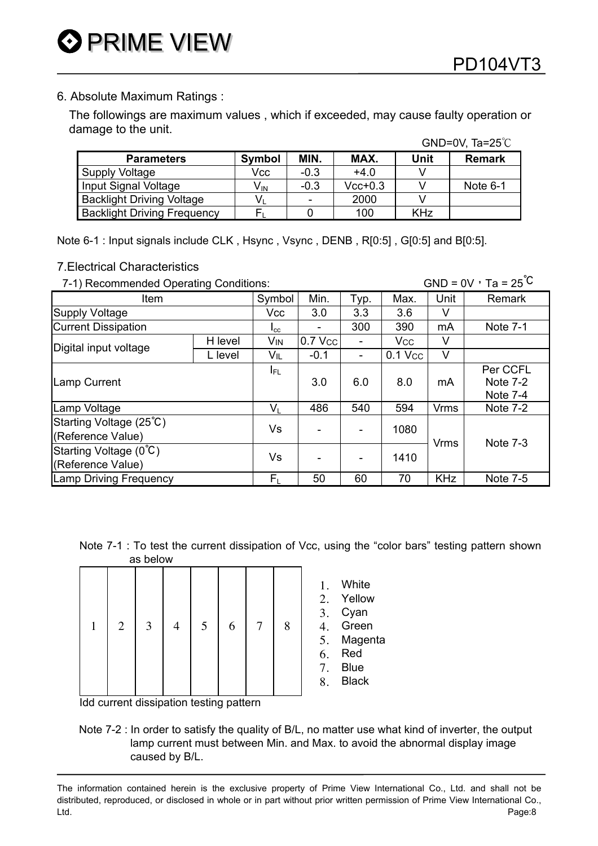### 6. Absolute Maximum Ratings :

 The followings are maximum values , which if exceeded, may cause faulty operation or damage to the unit.  $CND=0V$ ,  $T_2-25^\circ C$ 

|                                    |                 |        |           |            | $UIVU=VV, IU=2VV$ |
|------------------------------------|-----------------|--------|-----------|------------|-------------------|
| <b>Parameters</b>                  | <b>Symbol</b>   | MIN.   | MAX.      | Unit       | <b>Remark</b>     |
| Supply Voltage                     | Vcc             | $-0.3$ | $+4.0$    |            |                   |
| Input Signal Voltage               | V <sub>IN</sub> | $-0.3$ | $Vcc+0.3$ |            | Note 6-1          |
| <b>Backlight Driving Voltage</b>   | V               |        | 2000      |            |                   |
| <b>Backlight Driving Frequency</b> |                 |        | 100       | <b>KHz</b> |                   |

Note 6-1 : Input signals include CLK , Hsync , Vsync , DENB , R[0:5] , G[0:5] and B[0:5].

### 7.Electrical Characteristics

7-1) Recommended Operating Conditions: GND =  $0V$ , Ta =  $25^{\circ}$ C

| Item                                         |         | Symbol                    | Min.    | Typ.                     | Max.                  | Unit        | Remark                 |
|----------------------------------------------|---------|---------------------------|---------|--------------------------|-----------------------|-------------|------------------------|
| Supply Voltage                               |         | Vcc                       | 3.0     | 3.3                      | 3.6                   | v           |                        |
| <b>Current Dissipation</b>                   |         | $I_{\rm CC}$              | -       | 300                      | 390                   | mA          | <b>Note 7-1</b>        |
| Digital input voltage                        | H level | VIN                       | 0.7 Vcc | $\overline{\phantom{a}}$ | <b>V<sub>cc</sub></b> | V           |                        |
|                                              | L level | VIL                       | $-0.1$  | $\overline{\phantom{a}}$ | $0.1$ Vcc             | V           |                        |
|                                              |         | I <sub>FL</sub>           |         |                          |                       |             | Per CCFL               |
| Lamp Current                                 |         |                           | 3.0     | 6.0                      | 8.0                   | mA          | Note $7-2$<br>Note 7-4 |
| Lamp Voltage                                 |         | $\mathsf{V}_{\mathsf{L}}$ | 486     | 540                      | 594                   | <b>Vrms</b> | <b>Note 7-2</b>        |
| Starting Voltage (25°C)<br>(Reference Value) |         | Vs                        | -       | $\overline{\phantom{a}}$ | 1080                  | Vrms        | <b>Note 7-3</b>        |
| Starting Voltage (0°C)<br>(Reference Value)  |         | Vs                        |         | $\overline{\phantom{a}}$ | 1410                  |             |                        |
| <b>Lamp Driving Frequency</b>                |         | F,                        | 50      | 60                       | 70                    | <b>KHz</b>  | Note 7-5               |

Note 7-1 : To test the current dissipation of Vcc, using the "color bars" testing pattern shown as below

| 1 | $\overline{2}$ | 3 | 5 | 6 | 8 | 1.<br>2.<br>3.<br>4.<br>5.<br>6.<br>7.<br>8. | White<br>Yellow<br>Cyan<br>Green<br>Magenta<br>Red<br><b>Blue</b><br><b>Black</b> |
|---|----------------|---|---|---|---|----------------------------------------------|-----------------------------------------------------------------------------------|
|   |                |   |   |   |   |                                              |                                                                                   |

Idd current dissipation testing pattern

Note 7-2 : In order to satisfy the quality of B/L, no matter use what kind of inverter, the output lamp current must between Min. and Max. to avoid the abnormal display image caused by B/L.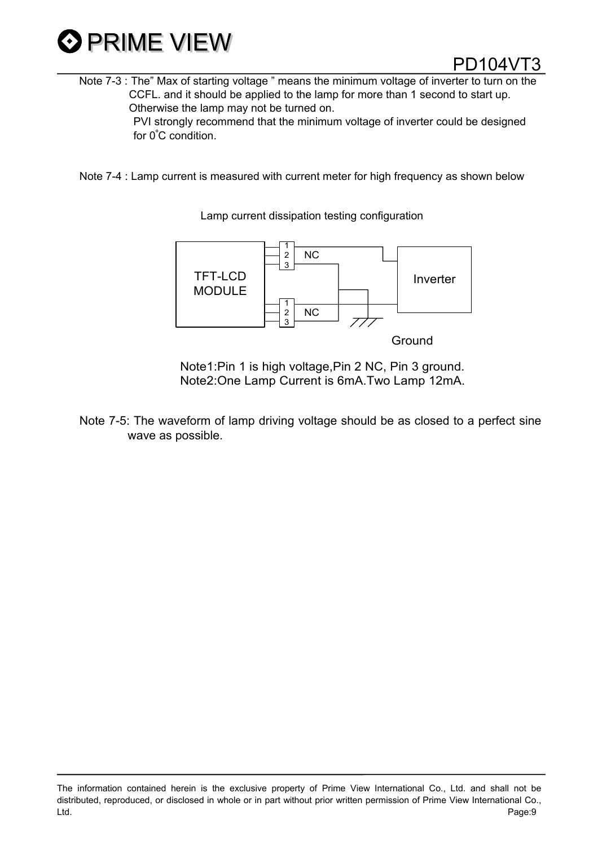

Note 7-3 : The" Max of starting voltage " means the minimum voltage of inverter to turn on the CCFL. and it should be applied to the lamp for more than 1 second to start up. Otherwise the lamp may not be turned on. PVI strongly recommend that the minimum voltage of inverter could be designed for 0∘C condition.

Note 7-4 : Lamp current is measured with current meter for high frequency as shown below

TFT-LCD MODULE Inverter 1 2 3 1 2 3 NC NC

**Ground** 

Note1:Pin 1 is high voltage,Pin 2 NC, Pin 3 ground. Note2:One Lamp Current is 6mA.Two Lamp 12mA.

Note 7-5: The waveform of lamp driving voltage should be as closed to a perfect sine wave as possible.

The information contained herein is the exclusive property of Prime View International Co., Ltd. and shall not be distributed, reproduced, or disclosed in whole or in part without prior written permission of Prime View International Co., Ltd. Page:9

Lamp current dissipation testing configuration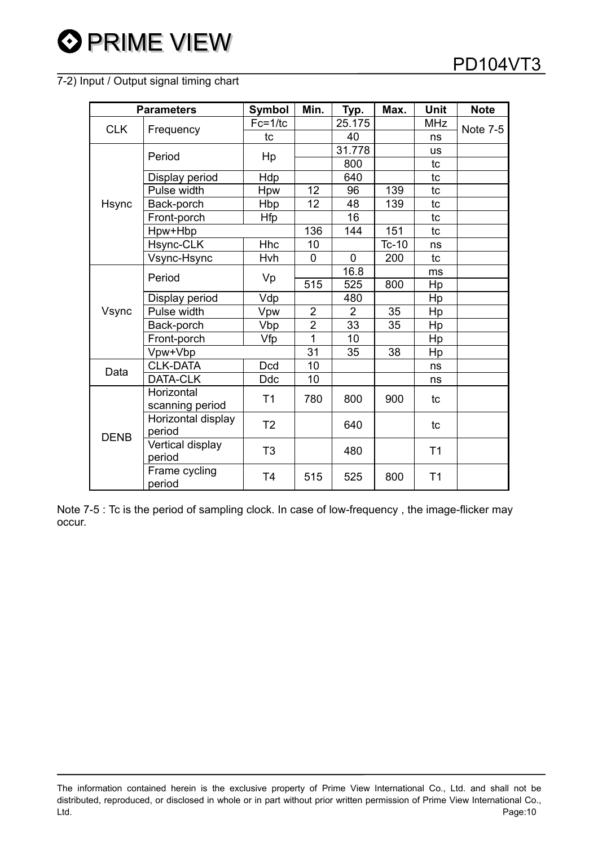### 7-2) Input / Output signal timing chart

| <b>Parameters</b> |                                                 | Symbol         | Min.                    | Typ.        | Max.    | <b>Unit</b>    | <b>Note</b>     |
|-------------------|-------------------------------------------------|----------------|-------------------------|-------------|---------|----------------|-----------------|
| <b>CLK</b>        |                                                 | $Fc=1/tc$      |                         | 25.175      |         | <b>MHz</b>     | <b>Note 7-5</b> |
|                   | Frequency                                       | tc             |                         | 40          |         | ns             |                 |
|                   | Period                                          | Hp             |                         | 31.778      |         | <b>us</b>      |                 |
|                   |                                                 |                |                         | 800         |         | tc             |                 |
|                   | Display period                                  | Hdp            |                         | 640         |         | tc             |                 |
|                   | Pulse width                                     | Hpw            | 12                      | 96          | 139     | tc             |                 |
| <b>Hsync</b>      | Back-porch                                      | Hbp            | 12                      | 48          | 139     | tc             |                 |
|                   | Front-porch                                     | <b>Hfp</b>     |                         | 16          |         | tc             |                 |
|                   | Hpw+Hbp                                         |                | 136                     | 144         | 151     | tc             |                 |
|                   | Hsync-CLK                                       | <b>Hhc</b>     | 10                      |             | $Tc-10$ | ns             |                 |
|                   | Vsync-Hsync                                     | Hvh            | 0                       | $\mathbf 0$ | 200     | tc             |                 |
|                   | Period                                          | Vp             |                         | 16.8        |         | ms             |                 |
|                   |                                                 |                | 515                     | 525         | 800     | Hp             |                 |
|                   | Display period                                  | Vdp            |                         | 480         |         | Hp             |                 |
| Vsync             | Pulse width                                     | Vpw            | $\overline{2}$          | 2           | 35      | Hp             |                 |
|                   | Back-porch                                      | Vbp            | $\overline{\mathbf{c}}$ | 33          | 35      | Hp             |                 |
|                   | Front-porch                                     | Vfp            | 1                       | 10          |         | Hp             |                 |
|                   | Vpw+Vbp                                         |                | 31                      | 35          | 38      | Hp             |                 |
| Data              | <b>CLK-DATA</b>                                 | <b>Dcd</b>     | 10                      |             |         | ns             |                 |
|                   | DATA-CLK                                        | <b>Ddc</b>     | 10                      |             |         | ns             |                 |
|                   | Horizontal                                      | T1             | 780                     | 800         | 900     | tc             |                 |
| <b>DENB</b>       | scanning period<br>Horizontal display<br>period | T <sub>2</sub> |                         | 640         |         | tc             |                 |
|                   | Vertical display<br>period                      | T <sub>3</sub> |                         | 480         |         | T <sub>1</sub> |                 |
|                   | Frame cycling<br>period                         | T <sub>4</sub> | 515                     | 525         | 800     | T <sub>1</sub> |                 |

Note 7-5 : Tc is the period of sampling clock. In case of low-frequency , the image-flicker may occur.

The information contained herein is the exclusive property of Prime View International Co., Ltd. and shall not be distributed, reproduced, or disclosed in whole or in part without prior written permission of Prime View International Co., Ltd. Page:10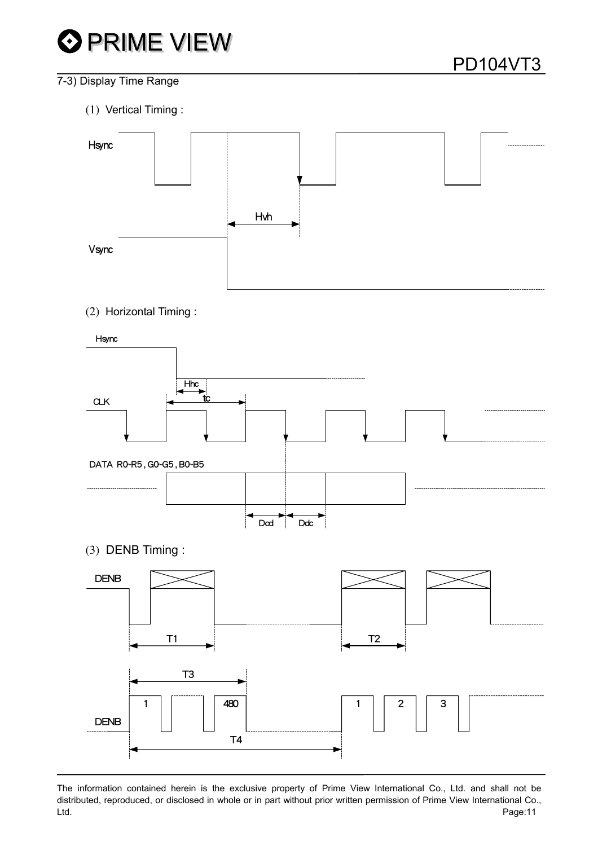# **O PRIME VIEW**

### 7-3) Display Time Range

(1) Vertical Timing :



(2) Horizontal Timing :

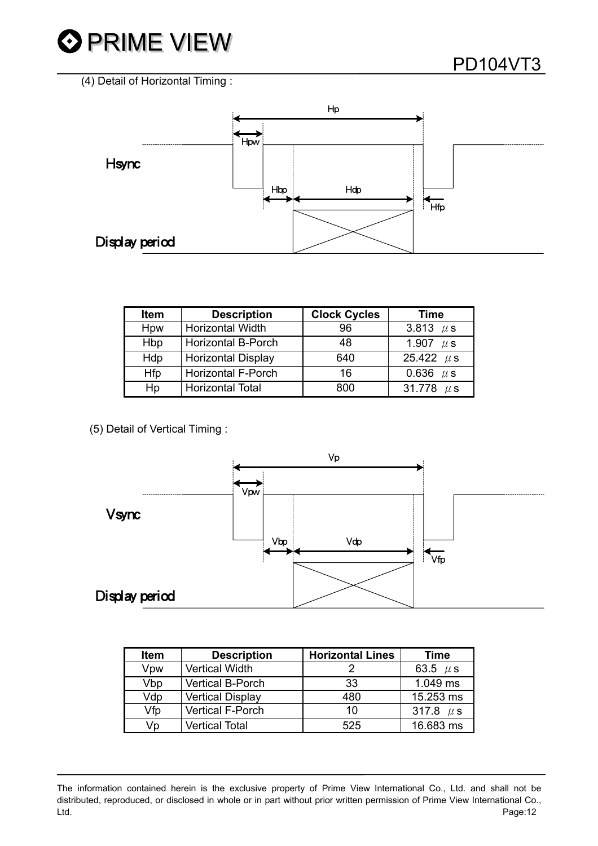



| Item | <b>Description</b>        | <b>Clock Cycles</b> | Time           |
|------|---------------------------|---------------------|----------------|
| Hpw  | <b>Horizontal Width</b>   | 96                  | 3.813 $\mu$ s  |
| Hbp  | <b>Horizontal B-Porch</b> | 48                  | 1.907 $\mu$ s  |
| Hdp  | <b>Horizontal Display</b> | 640                 | 25.422 $\mu$ s |
| Hfp  | <b>Horizontal F-Porch</b> | 16                  | 0.636 $\mu$ s  |
| Hp   | <b>Horizontal Total</b>   | റെറ                 | 31.778 $\mu$ s |

(5) Detail of Vertical Timing :



| <b>Item</b> | <b>Description</b>      | <b>Horizontal Lines</b> | <b>Time</b>   |
|-------------|-------------------------|-------------------------|---------------|
| Vpw         | <b>Vertical Width</b>   |                         | 63.5 $\mu$ s  |
| Vbp         | <b>Vertical B-Porch</b> | 33                      | 1.049 ms      |
| Vdp         | <b>Vertical Display</b> | 480                     | 15.253 ms     |
| Vfp         | Vertical F-Porch        | 10                      | 317.8 $\mu$ s |
| Vp          | <b>Vertical Total</b>   | 525                     | 16.683 ms     |

The information contained herein is the exclusive property of Prime View International Co., Ltd. and shall not be distributed, reproduced, or disclosed in whole or in part without prior written permission of Prime View International Co., Ltd. Page:12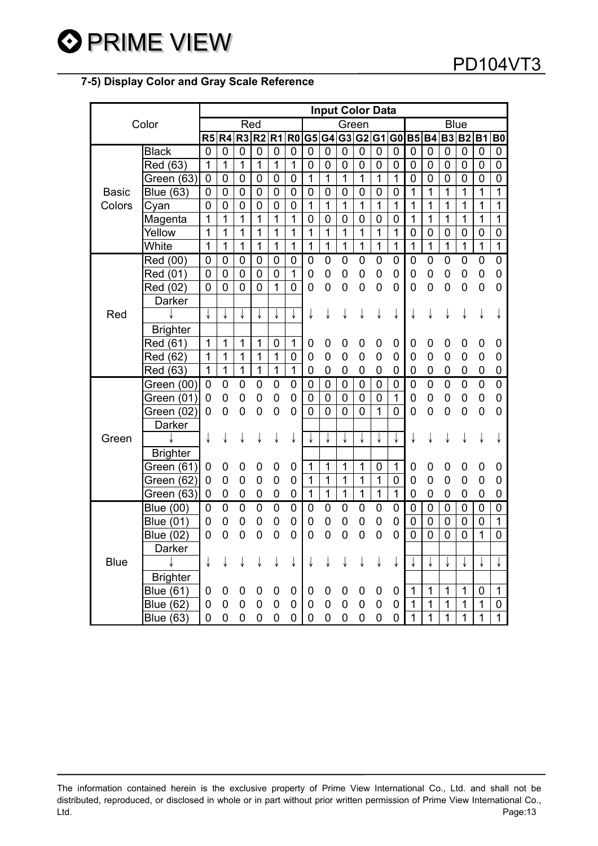### **7-5) Display Color and Gray Scale Reference**

| Color        |                  | <b>Input Color Data</b> |                     |                |                |                |                |                |                |                |                |                |                |                |                  |                |                |                  |                |
|--------------|------------------|-------------------------|---------------------|----------------|----------------|----------------|----------------|----------------|----------------|----------------|----------------|----------------|----------------|----------------|------------------|----------------|----------------|------------------|----------------|
|              |                  | Red                     |                     |                |                | Green          |                |                |                |                | <b>Blue</b>    |                |                |                |                  |                |                |                  |                |
|              |                  |                         | R5 R4 R3            |                | R <sub>2</sub> | R <sub>1</sub> | R <sub>0</sub> |                |                | G5 G4 G3 G2    |                | G1             | G <sub>0</sub> | <b>B5 B4</b>   |                  |                | B3 B2 B1       |                  | <b>B0</b>      |
|              | <b>Black</b>     | 0                       | 0                   | 0              | 0              | 0              | 0              | $\mathbf 0$    | $\mathbf 0$    | 0              | 0              | 0              | 0              | $\mathbf 0$    | 0                | 0              | 0              | 0                | 0              |
|              | Red (63)         | 1                       | 1                   | 1              | 1              | 1              | 1              | $\overline{0}$ | 0              | 0              | 0              | 0              | 0              | 0              | 0                | 0              | 0              | 0                | 0              |
|              | Green (63)       | $\mathbf 0$             | $\pmb{0}$           | $\overline{0}$ | $\mathbf 0$    | $\mathbf 0$    | 0              | 1              | $\mathbf{1}$   | $\mathbf{1}$   | 1              | $\overline{1}$ | $\overline{1}$ | $\overline{0}$ | $\overline{0}$   | $\overline{0}$ | $\mathbf 0$    | $\mathbf 0$      | 0              |
| <b>Basic</b> | <b>Blue (63)</b> | $\mathbf 0$             | $\mathsf{O}\xspace$ | $\overline{0}$ | $\mathbf 0$    | $\mathbf 0$    | $\mathbf 0$    | $\overline{0}$ | $\mathbf 0$    | $\overline{0}$ | $\overline{0}$ | $\mathbf 0$    | $\mathbf 0$    | 1              | $\overline{1}$   | $\overline{1}$ | $\overline{1}$ | 1                | $\overline{1}$ |
| Colors       | Cyan             | $\overline{0}$          | $\mathbf 0$         | 0              | 0              | 0              | 0              | 1              | $\overline{1}$ | 1              | 1              | 1              | $\mathbf{1}$   | 1              | $\overline{1}$   | $\overline{1}$ | $\overline{1}$ | 1                | 1              |
|              | Magenta          | 1                       | 1                   | $\overline{1}$ | $\mathbf 1$    | 1              | 1              | $\mathbf 0$    | $\mathbf 0$    | 0              | $\mathbf 0$    | 0              | 0              | 1              | $\mathbf 1$      | 1              | $\mathbf 1$    | 1                | 1              |
|              | Yellow           | 1                       | $\mathbf 1$         | $\overline{1}$ | 1              | 1              | 1              | 1              | $\overline{1}$ | 1              | 1              | 1              | $\overline{1}$ | 0              | 0                | 0              | 0              | $\mathbf 0$      | $\mathbf 0$    |
|              | White            | $\overline{1}$          | $\overline{1}$      | $\overline{1}$ | $\overline{1}$ | $\overline{1}$ | 1              | $\overline{1}$ | $\overline{1}$ | $\overline{1}$ | 1              | 1              | $\overline{1}$ | 1              | $\overline{1}$   | $\overline{1}$ | $\overline{1}$ | $\overline{1}$   | $\overline{1}$ |
|              | Red (00)         | 0                       | $\mathbf 0$         | 0              | 0              | 0              | $\mathbf 0$    | 0              | 0              | 0              | $\mathbf 0$    | $\mathbf 0$    | 0              | $\mathbf 0$    | 0                | 0              | 0              | 0                | $\mathbf 0$    |
|              | Red (01)         | $\mathbf 0$             | $\pmb{0}$           | $\overline{0}$ | $\mathsf 0$    | $\overline{0}$ | $\mathbf{1}$   | $\mathbf 0$    | $\mathbf 0$    | $\overline{0}$ | $\mathbf 0$    | $\overline{0}$ | 0              | $\mathbf 0$    | 0                | 0              | 0              | $\boldsymbol{0}$ | 0              |
|              | Red (02)         | $\overline{0}$          | $\mathbf 0$         | 0              | 0              | 1              | $\mathbf 0$    | $\overline{0}$ | $\overline{0}$ | 0              | $\overline{0}$ | 0              | 0              | 0              | 0                | 0              | 0              | $\mathbf 0$      | 0              |
|              | Darker           |                         |                     |                |                |                |                |                |                |                |                |                |                |                |                  |                |                |                  |                |
| Red          |                  |                         | ↓                   |                | ↓              |                | ↓              | ↓              | ↓              | ↓              | ↓              | ↓              | $\downarrow$   | ↓              | ↓                | ↓              | ↓              | ↓                | ↓              |
|              | <b>Brighter</b>  |                         |                     |                |                |                |                |                |                |                |                |                |                |                |                  |                |                |                  |                |
|              | Red (61)         | 1                       | 1                   | 1              | $\mathbf 1$    | 0              | 1              | 0              | 0              | 0              | $\mathbf 0$    | $\mathbf 0$    | 0              | 0              | 0                | 0              | 0              | 0                | 0              |
|              | Red (62)         | 1                       | $\mathbf 1$         | 1              | $\mathbf 1$    | 1              | 0              | 0              | 0              | 0              | 0              | $\mathbf 0$    | 0              | 0              | 0                | 0              | 0              | 0                | 0              |
|              | Red (63)         | $\mathbf 1$             | $\mathbf 1$         | 1              | $\mathbf 1$    | $\mathbf 1$    | 1              | 0              | 0              | 0              | 0              | 0              | 0              | 0              | 0                | 0              | 0              | 0                | 0              |
|              | Green (00)       | 0                       | $\pmb{0}$           | 0              | 0              | 0              | 0              | 0              | $\mathbf 0$    | 0              | $\mathbf 0$    | 0              | 0              | $\mathbf 0$    | $\mathbf 0$      | 0              | $\mathbf 0$    | $\mathbf 0$      | $\overline{0}$ |
|              | Green (01)       | 0                       | $\mathbf 0$         | 0              | 0              | 0              | 0              | 0              | $\mathbf 0$    | 0              | $\mathbf 0$    | 0              | $\mathbf 1$    | 0              | 0                | 0              | 0              | 0                | 0              |
|              | Green (02)       | 0                       | $\mathbf 0$         | $\mathbf 0$    | $\overline{0}$ | 0              | 0              | $\overline{0}$ | $\overline{0}$ | 0              | $\overline{0}$ | 1              | 0              | 0              | 0                | 0              | 0              | 0                | $\overline{0}$ |
|              | Darker           |                         |                     |                |                |                |                |                |                |                |                |                |                |                |                  |                |                |                  |                |
| Green        |                  | ↓                       | ↓                   |                | ↓              | ↓              | ↓              | ↓              | ↓              | ↓              | ↓              | ↓              |                | ↓              | ↓                |                |                | ↓                |                |
|              | <b>Brighter</b>  |                         |                     |                |                |                |                |                |                |                |                |                |                |                |                  |                |                |                  |                |
|              | Green (61)       | 0                       | $\mathbf 0$         | 0              | 0              | 0              | 0              | 1              | $\mathbf{1}$   | 1              | 1              | 0              | $\mathbf{1}$   | 0              | 0                | 0              | 0              | 0                | 0              |
|              | Green (62)       | 0                       | $\mathbf 0$         | 0              | 0              | 0              | 0              | 1              | $\overline{1}$ | $\mathbf{1}$   | 1              | $\mathbf{1}$   | $\mathbf 0$    | 0              | 0                | 0              | 0              | 0                | 0              |
|              | Green (63)       | $\mathbf 0$             | $\mathbf 0$         | 0              | 0              | 0              | 0              | $\mathbf{1}$   | $\mathbf{1}$   | 1              | 1              | $\mathbf{1}$   | $\overline{1}$ | $\mathbf 0$    | 0                | 0              | 0              | 0                | 0              |
| <b>Blue</b>  | <b>Blue (00)</b> | $\overline{0}$          | $\pmb{0}$           | $\overline{0}$ | 0              | $\overline{0}$ | 0              | $\overline{0}$ | 0              | $\mathbf 0$    | $\mathbf 0$    | $\mathbf 0$    | 0              | 0              | $\boldsymbol{0}$ | 0              | $\pmb{0}$      | $\boldsymbol{0}$ | 0              |
|              | <b>Blue (01)</b> | 0                       | 0                   | 0              | 0              | 0              | 0              | 0              | 0              | 0              | 0              | $\mathbf 0$    | 0              | 0              | $\mathbf 0$      | $\mathbf 0$    | 0              | $\boldsymbol{0}$ | $\mathbf 1$    |
|              | <b>Blue (02)</b> | $\overline{0}$          | $\mathbf 0$         | $\overline{0}$ | $\overline{0}$ | 0              | 0              | 0              | $\overline{0}$ | $\overline{0}$ | $\overline{0}$ | 0              | 0              | $\overline{0}$ | $\mathbf 0$      | 0              | $\overline{0}$ | 1                | $\overline{0}$ |
|              | Darker           |                         |                     |                |                |                |                |                |                |                |                |                |                |                |                  |                |                |                  |                |
|              |                  | ↓                       | ↓                   |                |                | ↓              | ↓              |                | ↓              | ↓              | ↓              | ↓              | ↓              |                |                  |                |                | ↓                | ↓              |
|              | <b>Brighter</b>  |                         |                     |                |                |                |                |                |                |                |                |                |                |                |                  |                |                |                  |                |
|              | <b>Blue (61)</b> | 0                       | 0                   | 0              | 0              | 0              | 0              | 0              | 0              | 0              | 0              | 0              | 0              | 1              | 1                | 1              | $\mathbf 1$    | 0                | $\mathbf 1$    |
|              | <b>Blue (62)</b> | 0                       | $\mathbf 0$         | 0              | 0              | 0              | 0              | 0              | $\overline{0}$ | 0              | 0              | 0              | 0              | 1              | 1                | 1              | $\mathbf 1$    | 1                | $\mathbf 0$    |
|              | <b>Blue (63)</b> | $\overline{0}$          | $\mathbf 0$         | 0              | 0              | $\overline{0}$ | 0              | $\overline{0}$ | $\overline{0}$ | 0              | $\overline{0}$ | $\overline{0}$ | 0              | 1              | 1                | 1              | 1              | 1                | 1              |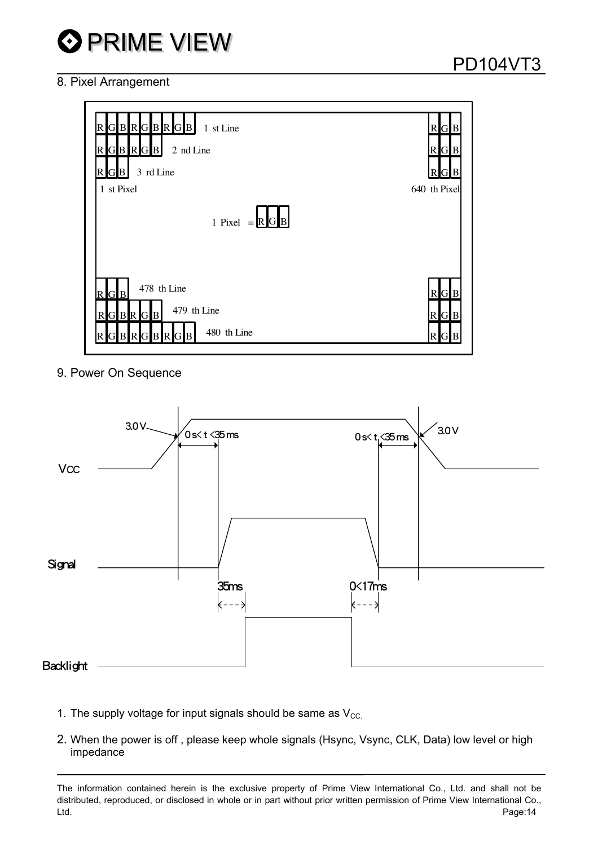

### 8. Pixel Arrangement





9. Power On Sequence



- 1. The supply voltage for input signals should be same as  $V_{\text{CC}}$ .
- 2. When the power is off , please keep whole signals (Hsync, Vsync, CLK, Data) low level or high impedance

The information contained herein is the exclusive property of Prime View International Co., Ltd. and shall not be distributed, reproduced, or disclosed in whole or in part without prior written permission of Prime View International Co., Ltd. Page:14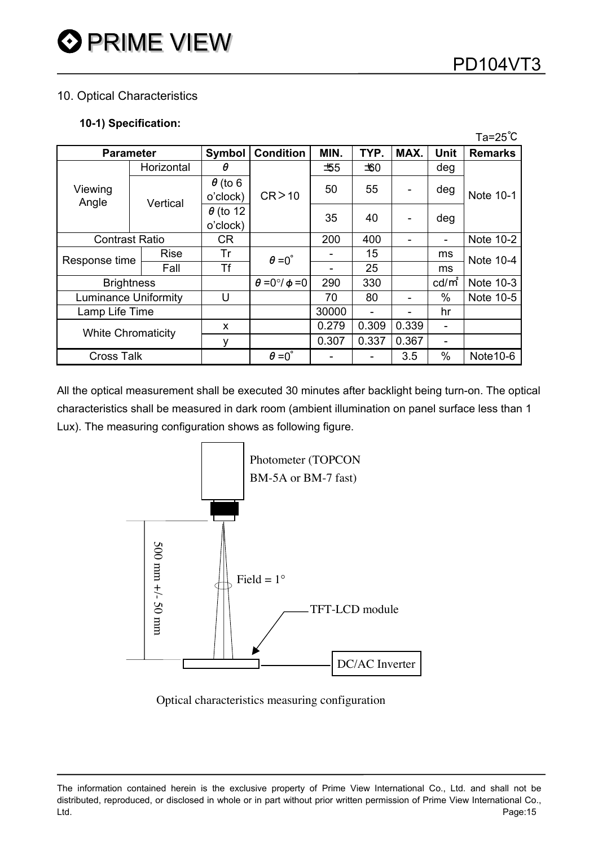$\sim$   $\sim$ 

### 10. Optical Characteristics

#### **10-1) Specification:**

|                   |                             |                             |                             |       |       |       |                          | ı a=z5 ∪       |  |
|-------------------|-----------------------------|-----------------------------|-----------------------------|-------|-------|-------|--------------------------|----------------|--|
|                   | <b>Parameter</b>            | Symbol                      | <b>Condition</b>            | MIN.  | TYP.  | MAX.  | <b>Unit</b>              | <b>Remarks</b> |  |
|                   | Horizontal                  | θ                           |                             | +55   | ±60   |       | deg                      |                |  |
| Viewing           |                             | $\theta$ (to 6              |                             | 50    | 55    |       | deg                      | Note 10-1      |  |
| Angle             | Vertical                    | o'clock)                    | CR > 10                     |       |       |       |                          |                |  |
|                   |                             | $\theta$ (to 12<br>o'clock) |                             | 35    | 40    |       | deg                      |                |  |
|                   | <b>Contrast Ratio</b>       | <b>CR</b>                   |                             | 200   | 400   |       | ۰                        | Note 10-2      |  |
| Response time     | <b>Rise</b>                 | Tr                          | $\theta = 0^{\circ}$        |       | 15    |       | ms                       | Note 10-4      |  |
|                   | Fall                        | Tf                          |                             |       | 25    |       | ms                       |                |  |
|                   | <b>Brightness</b>           |                             | $\theta = 0^\circ/\phi = 0$ | 290   | 330   |       | $cd/m^2$                 | Note 10-3      |  |
|                   | <b>Luminance Uniformity</b> | U                           |                             | 70    | 80    |       | $\%$                     | Note 10-5      |  |
| Lamp Life Time    |                             |                             |                             | 30000 |       |       | hr                       |                |  |
|                   | <b>White Chromaticity</b>   | x                           |                             | 0.279 | 0.309 | 0.339 | $\overline{\phantom{a}}$ |                |  |
|                   |                             | ٧                           |                             | 0.307 | 0.337 | 0.367 | -                        |                |  |
| <b>Cross Talk</b> |                             |                             | $\theta = 0^{\circ}$        |       |       | 3.5   | $\%$                     | Note 10-6      |  |

All the optical measurement shall be executed 30 minutes after backlight being turn-on. The optical characteristics shall be measured in dark room (ambient illumination on panel surface less than 1 Lux). The measuring configuration shows as following figure.



Optical characteristics measuring configuration

The information contained herein is the exclusive property of Prime View International Co., Ltd. and shall not be distributed, reproduced, or disclosed in whole or in part without prior written permission of Prime View International Co., Ltd. Page:15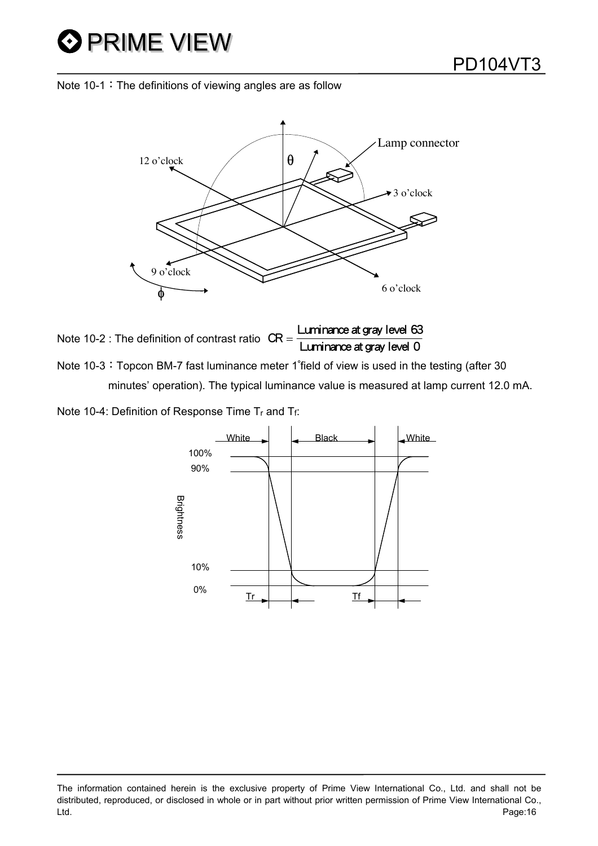# **O** PRIME VIEW





Note 10-2 : The definition of contrast ratio  $CR =$ Luminance at gray level 63<br>Luminance at gray level 0 Note 10-3: Topcon BM-7 fast luminance meter 1°field of view is used in the testing (after 30

minutes' operation). The typical luminance value is measured at lamp current 12.0 mA.

Note 10-4: Definition of Response Time Tr and Tf:

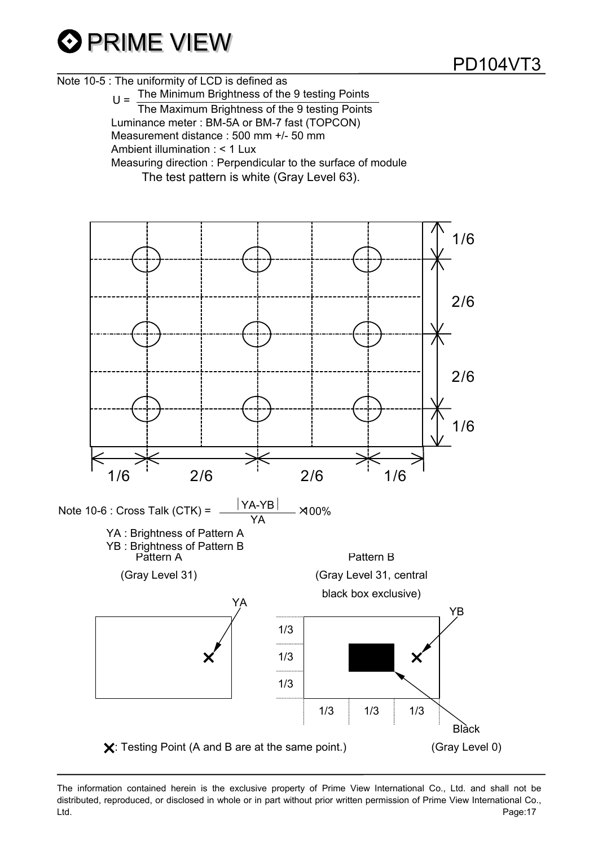

Note 10-5 : The uniformity of LCD is defined as

 $U =$  The Minimum Brightness of the 9 testing Points The Maximum Brightness of the 9 testing Points Luminance meter : BM-5A or BM-7 fast (TOPCON) Measurement distance : 500 mm +/- 50 mm Ambient illumination : < 1 Lux Measuring direction : Perpendicular to the surface of module The test pattern is white (Gray Level 63).

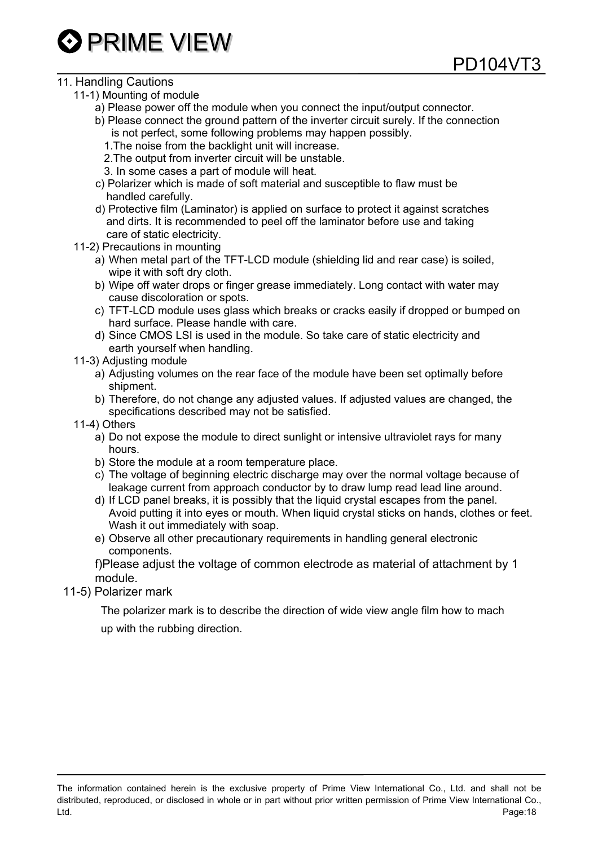

### 11. Handling Cautions

- 11-1) Mounting of module
	- a) Please power off the module when you connect the input/output connector.
	- b) Please connect the ground pattern of the inverter circuit surely. If the connection is not perfect, some following problems may happen possibly.

PD104VT3

- 1.The noise from the backlight unit will increase.
- 2.The output from inverter circuit will be unstable.
- 3. In some cases a part of module will heat.
- c) Polarizer which is made of soft material and susceptible to flaw must be handled carefully.
- d) Protective film (Laminator) is applied on surface to protect it against scratches and dirts. It is recommended to peel off the laminator before use and taking care of static electricity.
- 11-2) Precautions in mounting
	- a) When metal part of the TFT-LCD module (shielding lid and rear case) is soiled, wipe it with soft dry cloth.
	- b) Wipe off water drops or finger grease immediately. Long contact with water may cause discoloration or spots.
	- c) TFT-LCD module uses glass which breaks or cracks easily if dropped or bumped on hard surface. Please handle with care.
	- d) Since CMOS LSI is used in the module. So take care of static electricity and earth yourself when handling.
- 11-3) Adjusting module
	- a) Adjusting volumes on the rear face of the module have been set optimally before shipment.
	- b) Therefore, do not change any adjusted values. If adjusted values are changed, the specifications described may not be satisfied.
- 11-4) Others
	- a) Do not expose the module to direct sunlight or intensive ultraviolet rays for many hours.
	- b) Store the module at a room temperature place.
	- c) The voltage of beginning electric discharge may over the normal voltage because of leakage current from approach conductor by to draw lump read lead line around.
	- d) If LCD panel breaks, it is possibly that the liquid crystal escapes from the panel. Avoid putting it into eyes or mouth. When liquid crystal sticks on hands, clothes or feet. Wash it out immediately with soap.
	- e) Observe all other precautionary requirements in handling general electronic components.
	- f)Please adjust the voltage of common electrode as material of attachment by 1 module.
- 11-5) Polarizer mark

 The polarizer mark is to describe the direction of wide view angle film how to mach up with the rubbing direction.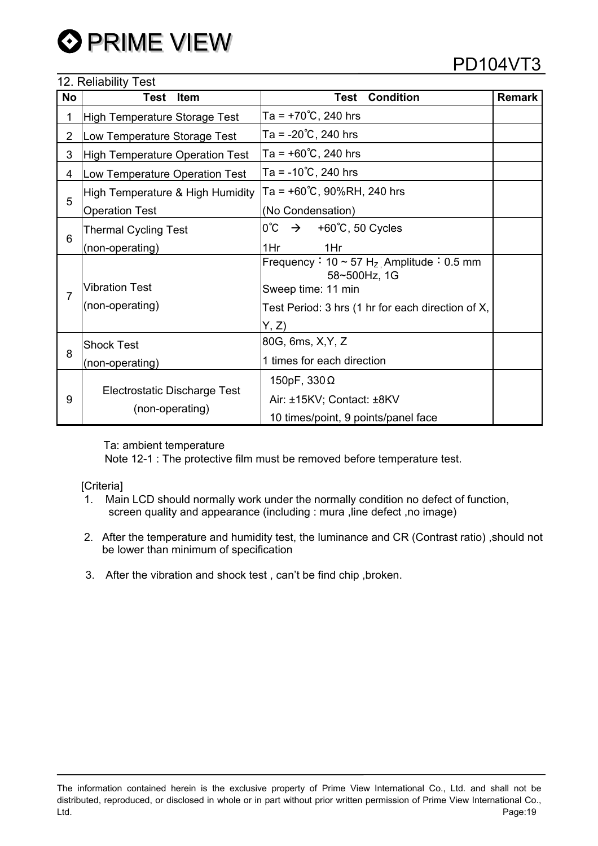### 12. Reliability Test

## PD104VT3

| No             | $12.1$ . The manning $1000$<br><b>Test</b><br><b>Item</b> | <b>Condition</b><br>Test                                                                      | <b>Remark</b> |
|----------------|-----------------------------------------------------------|-----------------------------------------------------------------------------------------------|---------------|
| 1              | <b>High Temperature Storage Test</b>                      | Ta = +70 °C, 240 hrs                                                                          |               |
| $\overline{2}$ | Low Temperature Storage Test                              | Ta = -20℃, 240 hrs                                                                            |               |
| 3              | High Temperature Operation Test                           | Ta = $+60^{\circ}$ C, 240 hrs                                                                 |               |
| 4              | Low Temperature Operation Test                            | Ta = -10℃, 240 hrs                                                                            |               |
|                | High Temperature & High Humidity                          | Ta = +60°C, 90%RH, 240 hrs                                                                    |               |
| 5              | <b>Operation Test</b>                                     | (No Condensation)                                                                             |               |
|                | <b>Thermal Cycling Test</b>                               | $0^{\circ}C \rightarrow$<br>+60℃, 50 Cycles                                                   |               |
| 6              | (non-operating)                                           | 1Hr<br>1Hr                                                                                    |               |
| 7              | <b>Vibration Test</b>                                     | Frequency: $10 \sim 57 \text{ H}_{Z}$ Amplitude: 0.5 mm<br>58~500Hz, 1G<br>Sweep time: 11 min |               |
|                | (non-operating)                                           | Test Period: 3 hrs (1 hr for each direction of X,                                             |               |
|                |                                                           | Y, Z<br>80G, 6ms, X, Y, Z                                                                     |               |
| 8              | <b>Shock Test</b><br>(non-operating)                      | 1 times for each direction                                                                    |               |
| 9              |                                                           | 150pF, $330\Omega$                                                                            |               |
|                | Electrostatic Discharge Test                              | Air: ±15KV; Contact: ±8KV                                                                     |               |
|                | (non-operating)                                           | 10 times/point, 9 points/panel face                                                           |               |

Ta: ambient temperature

Note 12-1 : The protective film must be removed before temperature test.

[Criteria]

- 1. Main LCD should normally work under the normally condition no defect of function, screen quality and appearance (including : mura , line defect , no image)
- 2. After the temperature and humidity test, the luminance and CR (Contrast ratio) ,should not be lower than minimum of specification
- 3. After the vibration and shock test , can't be find chip ,broken.

The information contained herein is the exclusive property of Prime View International Co., Ltd. and shall not be distributed, reproduced, or disclosed in whole or in part without prior written permission of Prime View International Co., Ltd. Page:19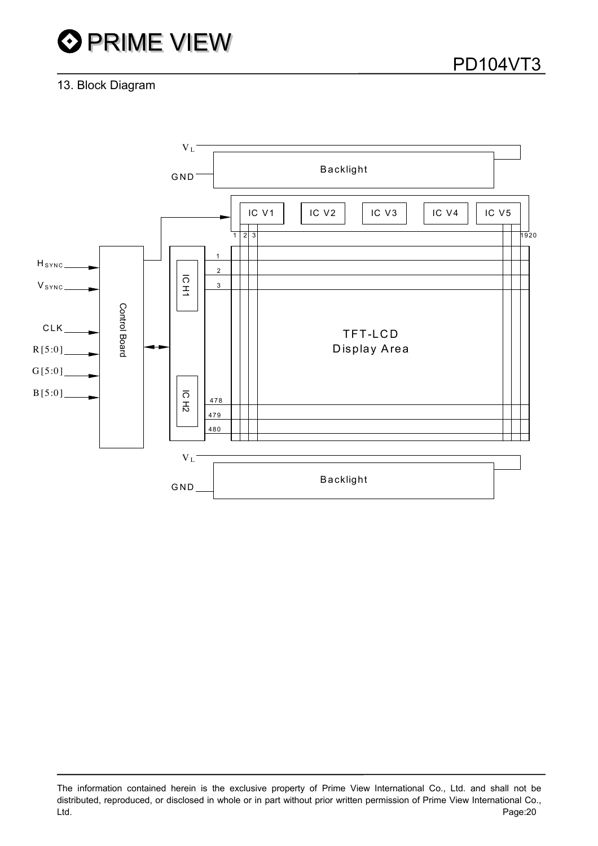# **OPRIME VIEW**

### 13. Block Diagram



The information contained herein is the exclusive property of Prime View International Co., Ltd. and shall not be distributed, reproduced, or disclosed in whole or in part without prior written permission of Prime View International Co., Ltd. Page:20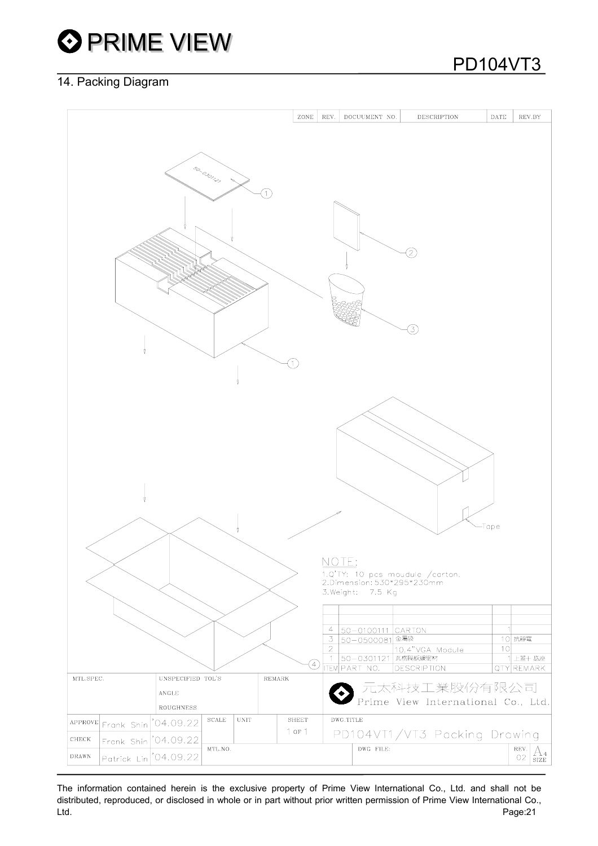

### 14. Packing Diagram

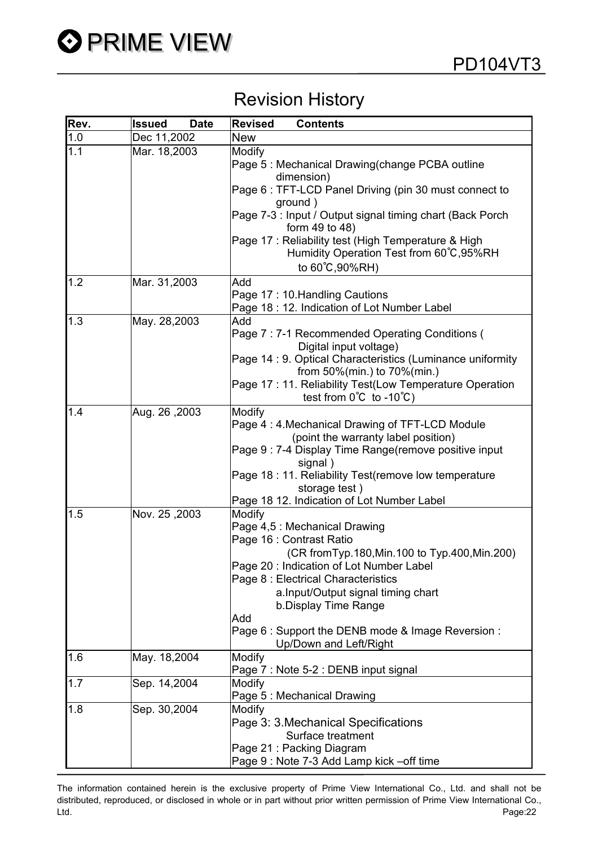## Revision History

| Rev. | <b>Date</b><br>Issued | <b>Contents</b><br><b>Revised</b>                                                                                                                                                                                                                                                                                                                                |
|------|-----------------------|------------------------------------------------------------------------------------------------------------------------------------------------------------------------------------------------------------------------------------------------------------------------------------------------------------------------------------------------------------------|
| 1.0  | Dec 11,2002           | <b>New</b>                                                                                                                                                                                                                                                                                                                                                       |
| 1.1  | Mar. 18,2003          | Modify<br>Page 5: Mechanical Drawing(change PCBA outline<br>dimension)<br>Page 6 : TFT-LCD Panel Driving (pin 30 must connect to<br>ground)<br>Page 7-3 : Input / Output signal timing chart (Back Porch<br>form 49 to 48)                                                                                                                                       |
|      |                       | Page 17 : Reliability test (High Temperature & High<br>Humidity Operation Test from 60°C, 95%RH<br>to 60°C, 90%RH)                                                                                                                                                                                                                                               |
| 1.2  | Mar. 31,2003          | Add<br>Page 17: 10. Handling Cautions<br>Page 18 : 12. Indication of Lot Number Label                                                                                                                                                                                                                                                                            |
| 1.3  | May. 28,2003          | Add<br>Page 7: 7-1 Recommended Operating Conditions (<br>Digital input voltage)<br>Page 14 : 9. Optical Characteristics (Luminance uniformity<br>from 50%(min.) to 70%(min.)<br>Page 17 : 11. Reliability Test(Low Temperature Operation<br>test from $0^{\circ}C$ to -10 $^{\circ}C$ )                                                                          |
| 1.4  | Aug. 26, 2003         | Modify<br>Page 4: 4. Mechanical Drawing of TFT-LCD Module<br>(point the warranty label position)<br>Page 9 : 7-4 Display Time Range(remove positive input<br>signal)<br>Page 18 : 11. Reliability Test(remove low temperature<br>storage test)<br>Page 18 12. Indication of Lot Number Label                                                                     |
| 1.5  | Nov. 25, 2003         | Modify<br>Page 4,5 : Mechanical Drawing<br>Page 16 : Contrast Ratio<br>(CR from Typ. 180, Min. 100 to Typ. 400, Min. 200)<br>Page 20: Indication of Lot Number Label<br>Page 8 : Electrical Characteristics<br>a.Input/Output signal timing chart<br>b.Display Time Range<br>Add<br>Page 6 : Support the DENB mode & Image Reversion :<br>Up/Down and Left/Right |
| 1.6  | May. 18,2004          | Modify<br>Page 7 : Note 5-2 : DENB input signal                                                                                                                                                                                                                                                                                                                  |
| 1.7  | Sep. 14,2004          | Modify<br>Page 5 : Mechanical Drawing                                                                                                                                                                                                                                                                                                                            |
| 1.8  | Sep. 30,2004          | Modify<br>Page 3: 3 Mechanical Specifications<br>Surface treatment<br>Page 21: Packing Diagram<br>Page 9: Note 7-3 Add Lamp kick -off time                                                                                                                                                                                                                       |